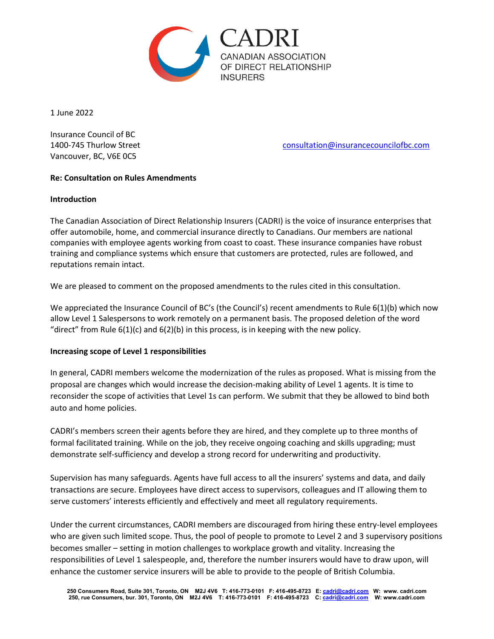

1 June 2022

Insurance Council of BC Vancouver, BC, V6E 0C5

1400-745 Thurlow Street [consultation@insurancecouncilofbc.com](mailto:consultation@insurancecouncilofbc.com)

# **Re: Consultation on Rules Amendments**

## **Introduction**

The Canadian Association of Direct Relationship Insurers (CADRI) is the voice of insurance enterprises that offer automobile, home, and commercial insurance directly to Canadians. Our members are national companies with employee agents working from coast to coast. These insurance companies have robust training and compliance systems which ensure that customers are protected, rules are followed, and reputations remain intact.

We are pleased to comment on the proposed amendments to the rules cited in this consultation.

We appreciated the Insurance Council of BC's (the Council's) recent amendments to Rule 6(1)(b) which now allow Level 1 Salespersons to work remotely on a permanent basis. The proposed deletion of the word "direct" from Rule  $6(1)(c)$  and  $6(2)(b)$  in this process, is in keeping with the new policy.

## **Increasing scope of Level 1 responsibilities**

In general, CADRI members welcome the modernization of the rules as proposed. What is missing from the proposal are changes which would increase the decision-making ability of Level 1 agents. It is time to reconsider the scope of activities that Level 1s can perform. We submit that they be allowed to bind both auto and home policies.

CADRI's members screen their agents before they are hired, and they complete up to three months of formal facilitated training. While on the job, they receive ongoing coaching and skills upgrading; must demonstrate self-sufficiency and develop a strong record for underwriting and productivity.

Supervision has many safeguards. Agents have full access to all the insurers' systems and data, and daily transactions are secure. Employees have direct access to supervisors, colleagues and IT allowing them to serve customers' interests efficiently and effectively and meet all regulatory requirements.

Under the current circumstances, CADRI members are discouraged from hiring these entry-level employees who are given such limited scope. Thus, the pool of people to promote to Level 2 and 3 supervisory positions becomes smaller – setting in motion challenges to workplace growth and vitality. Increasing the responsibilities of Level 1 salespeople, and, therefore the number insurers would have to draw upon, will enhance the customer service insurers will be able to provide to the people of British Columbia.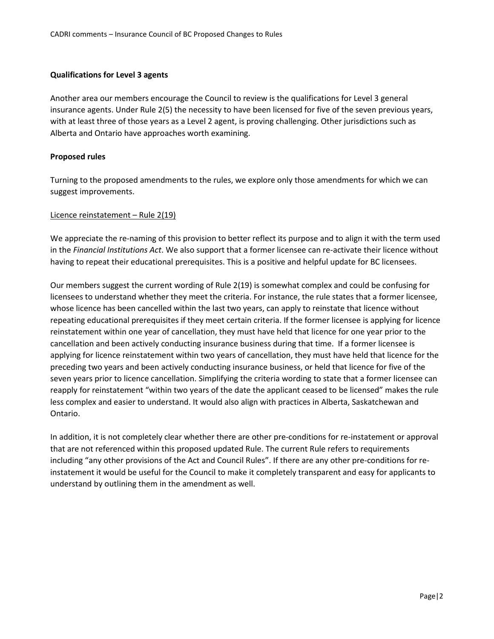### **Qualifications for Level 3 agents**

Another area our members encourage the Council to review is the qualifications for Level 3 general insurance agents. Under Rule 2(5) the necessity to have been licensed for five of the seven previous years, with at least three of those years as a Level 2 agent, is proving challenging. Other jurisdictions such as Alberta and Ontario have approaches worth examining.

### **Proposed rules**

Turning to the proposed amendments to the rules, we explore only those amendments for which we can suggest improvements.

#### Licence reinstatement – Rule 2(19)

We appreciate the re-naming of this provision to better reflect its purpose and to align it with the term used in the *Financial Institutions Act*. We also support that a former licensee can re-activate their licence without having to repeat their educational prerequisites. This is a positive and helpful update for BC licensees.

Our members suggest the current wording of Rule 2(19) is somewhat complex and could be confusing for licensees to understand whether they meet the criteria. For instance, the rule states that a former licensee, whose licence has been cancelled within the last two years, can apply to reinstate that licence without repeating educational prerequisites if they meet certain criteria. If the former licensee is applying for licence reinstatement within one year of cancellation, they must have held that licence for one year prior to the cancellation and been actively conducting insurance business during that time. If a former licensee is applying for licence reinstatement within two years of cancellation, they must have held that licence for the preceding two years and been actively conducting insurance business, or held that licence for five of the seven years prior to licence cancellation. Simplifying the criteria wording to state that a former licensee can reapply for reinstatement "within two years of the date the applicant ceased to be licensed" makes the rule less complex and easier to understand. It would also align with practices in Alberta, Saskatchewan and Ontario.

In addition, it is not completely clear whether there are other pre-conditions for re-instatement or approval that are not referenced within this proposed updated Rule. The current Rule refers to requirements including "any other provisions of the Act and Council Rules". If there are any other pre-conditions for reinstatement it would be useful for the Council to make it completely transparent and easy for applicants to understand by outlining them in the amendment as well.